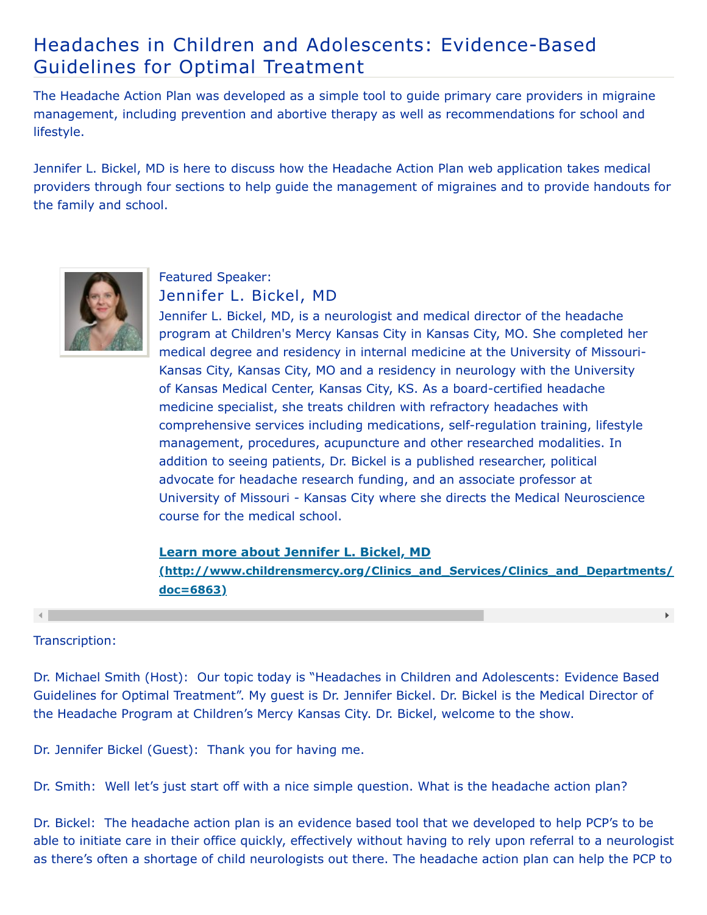## Headaches in Children and Adolescents: Evidence-Based Guidelines for Optimal Treatment

The Headache Action Plan was developed as a simple tool to guide primary care providers in migraine management, including prevention and abortive therapy as well as recommendations for school and lifestyle.

Jennifer L. Bickel, MD is here to discuss how the Headache Action Plan web application takes medical providers through four sections to help guide the management of migraines and to provide handouts for the family and school.



# Featured Speaker:

Jennifer L. Bickel, MD

Jennifer L. Bickel, MD, is a neurologist and medical director of the headache program at Children's Mercy Kansas City in Kansas City, MO. She completed her medical degree and residency in internal medicine at the University of Missouri-Kansas City, Kansas City, MO and a residency in neurology with the University of Kansas Medical Center, Kansas City, KS. As a board-certified headache medicine specialist, she treats children with refractory headaches with comprehensive services including medications, self-regulation training, lifestyle management, procedures, acupuncture and other researched modalities. In addition to seeing patients, Dr. Bickel is a published researcher, political advocate for headache research funding, and an associate professor at University of Missouri - Kansas City where she directs the Medical Neuroscience course for the medical school.

### **Learn more about Jennifer L. Bickel, MD**

**[\(http://www.childrensmercy.org/Clinics\\_and\\_Services/Clinics\\_and\\_Departments/](http://www.childrensmercy.org/Clinics_and_Services/Clinics_and_Departments/Pediatric_Neurology/Faculty_and_Staff/?doc=6863) doc=6863)**

 $\mathbf{F}^{\top}$ 

#### Transcription:

Dr. Michael Smith (Host): Our topic today is "Headaches in Children and Adolescents: Evidence Based Guidelines for Optimal Treatment". My guest is Dr. Jennifer Bickel. Dr. Bickel is the Medical Director of the Headache Program at Children's Mercy Kansas City. Dr. Bickel, welcome to the show.

Dr. Jennifer Bickel (Guest): Thank you for having me.

Dr. Smith: Well let's just start off with a nice simple question. What is the headache action plan?

Dr. Bickel: The headache action plan is an evidence based tool that we developed to help PCP's to be able to initiate care in their office quickly, effectively without having to rely upon referral to a neurologist as there's often a shortage of child neurologists out there. The headache action plan can help the PCP to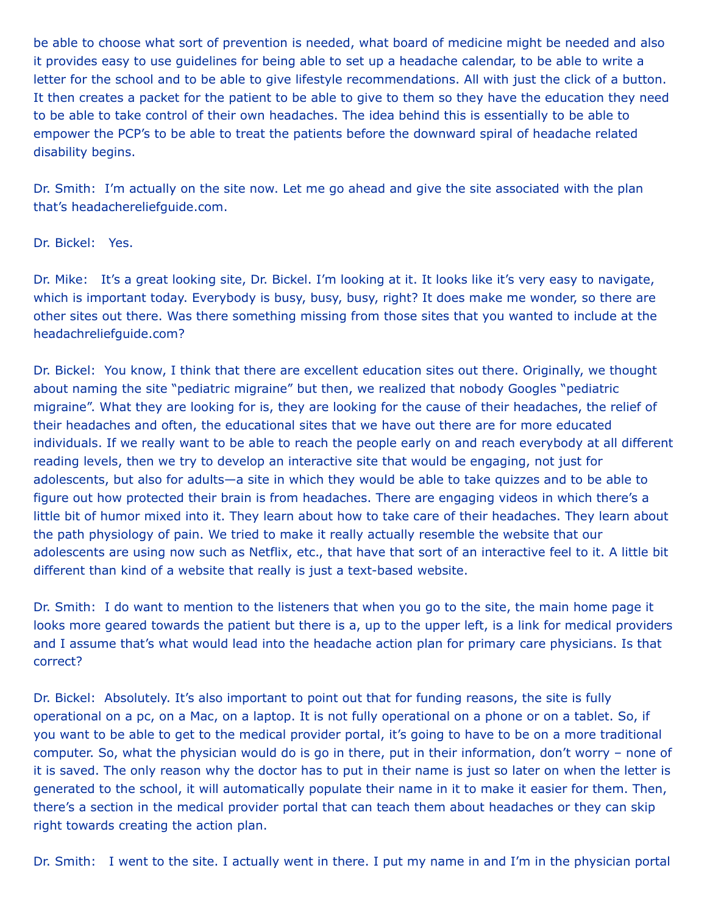be able to choose what sort of prevention is needed, what board of medicine might be needed and also it provides easy to use guidelines for being able to set up a headache calendar, to be able to write a letter for the school and to be able to give lifestyle recommendations. All with just the click of a button. It then creates a packet for the patient to be able to give to them so they have the education they need to be able to take control of their own headaches. The idea behind this is essentially to be able to empower the PCP's to be able to treat the patients before the downward spiral of headache related disability begins.

Dr. Smith: I'm actually on the site now. Let me go ahead and give the site associated with the plan that's headachereliefguide.com.

Dr. Bickel: Yes.

Dr. Mike: It's a great looking site, Dr. Bickel. I'm looking at it. It looks like it's very easy to navigate, which is important today. Everybody is busy, busy, busy, right? It does make me wonder, so there are other sites out there. Was there something missing from those sites that you wanted to include at the headachreliefguide.com?

Dr. Bickel: You know, I think that there are excellent education sites out there. Originally, we thought about naming the site "pediatric migraine" but then, we realized that nobody Googles "pediatric migraine". What they are looking for is, they are looking for the cause of their headaches, the relief of their headaches and often, the educational sites that we have out there are for more educated individuals. If we really want to be able to reach the people early on and reach everybody at all different reading levels, then we try to develop an interactive site that would be engaging, not just for adolescents, but also for adults—a site in which they would be able to take quizzes and to be able to figure out how protected their brain is from headaches. There are engaging videos in which there's a little bit of humor mixed into it. They learn about how to take care of their headaches. They learn about the path physiology of pain. We tried to make it really actually resemble the website that our adolescents are using now such as Netflix, etc., that have that sort of an interactive feel to it. A little bit different than kind of a website that really is just a text-based website.

Dr. Smith: I do want to mention to the listeners that when you go to the site, the main home page it looks more geared towards the patient but there is a, up to the upper left, is a link for medical providers and I assume that's what would lead into the headache action plan for primary care physicians. Is that correct?

Dr. Bickel: Absolutely. It's also important to point out that for funding reasons, the site is fully operational on a pc, on a Mac, on a laptop. It is not fully operational on a phone or on a tablet. So, if you want to be able to get to the medical provider portal, it's going to have to be on a more traditional computer. So, what the physician would do is go in there, put in their information, don't worry – none of it is saved. The only reason why the doctor has to put in their name is just so later on when the letter is generated to the school, it will automatically populate their name in it to make it easier for them. Then, there's a section in the medical provider portal that can teach them about headaches or they can skip right towards creating the action plan.

Dr. Smith: I went to the site. I actually went in there. I put my name in and I'm in the physician portal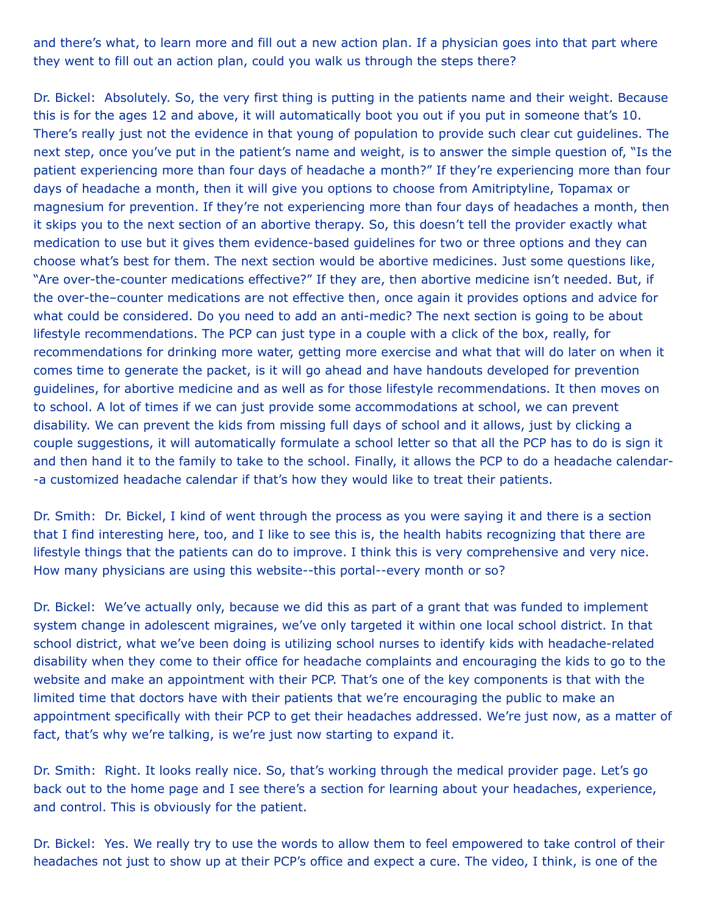and there's what, to learn more and fill out a new action plan. If a physician goes into that part where they went to fill out an action plan, could you walk us through the steps there?

Dr. Bickel: Absolutely. So, the very first thing is putting in the patients name and their weight. Because this is for the ages 12 and above, it will automatically boot you out if you put in someone that's 10. There's really just not the evidence in that young of population to provide such clear cut guidelines. The next step, once you've put in the patient's name and weight, is to answer the simple question of, "Is the patient experiencing more than four days of headache a month?" If they're experiencing more than four days of headache a month, then it will give you options to choose from Amitriptyline, Topamax or magnesium for prevention. If they're not experiencing more than four days of headaches a month, then it skips you to the next section of an abortive therapy. So, this doesn't tell the provider exactly what medication to use but it gives them evidence-based guidelines for two or three options and they can choose what's best for them. The next section would be abortive medicines. Just some questions like, "Are over-the-counter medications effective?" If they are, then abortive medicine isn't needed. But, if the over-the–counter medications are not effective then, once again it provides options and advice for what could be considered. Do you need to add an anti-medic? The next section is going to be about lifestyle recommendations. The PCP can just type in a couple with a click of the box, really, for recommendations for drinking more water, getting more exercise and what that will do later on when it comes time to generate the packet, is it will go ahead and have handouts developed for prevention guidelines, for abortive medicine and as well as for those lifestyle recommendations. It then moves on to school. A lot of times if we can just provide some accommodations at school, we can prevent disability. We can prevent the kids from missing full days of school and it allows, just by clicking a couple suggestions, it will automatically formulate a school letter so that all the PCP has to do is sign it and then hand it to the family to take to the school. Finally, it allows the PCP to do a headache calendar- -a customized headache calendar if that's how they would like to treat their patients.

Dr. Smith: Dr. Bickel, I kind of went through the process as you were saying it and there is a section that I find interesting here, too, and I like to see this is, the health habits recognizing that there are lifestyle things that the patients can do to improve. I think this is very comprehensive and very nice. How many physicians are using this website--this portal--every month or so?

Dr. Bickel: We've actually only, because we did this as part of a grant that was funded to implement system change in adolescent migraines, we've only targeted it within one local school district. In that school district, what we've been doing is utilizing school nurses to identify kids with headache-related disability when they come to their office for headache complaints and encouraging the kids to go to the website and make an appointment with their PCP. That's one of the key components is that with the limited time that doctors have with their patients that we're encouraging the public to make an appointment specifically with their PCP to get their headaches addressed. We're just now, as a matter of fact, that's why we're talking, is we're just now starting to expand it.

Dr. Smith: Right. It looks really nice. So, that's working through the medical provider page. Let's go back out to the home page and I see there's a section for learning about your headaches, experience, and control. This is obviously for the patient.

Dr. Bickel: Yes. We really try to use the words to allow them to feel empowered to take control of their headaches not just to show up at their PCP's office and expect a cure. The video, I think, is one of the